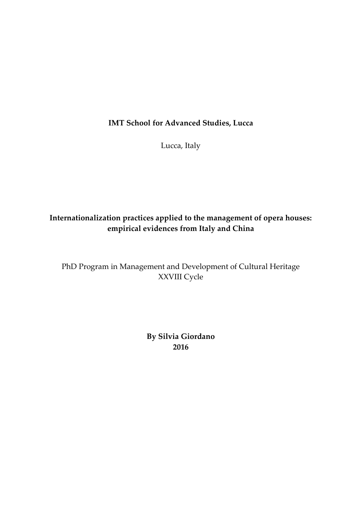#### **IMT School for Advanced Studies, Lucca**

Lucca, Italy

#### **Internationalization practices applied to the management of opera houses: empirical evidences from Italy and China**

PhD Program in Management and Development of Cultural Heritage XXVIII Cycle

> **B[y Silvia Giordano](mailto:a.einstein@imtlucca.it)  2016**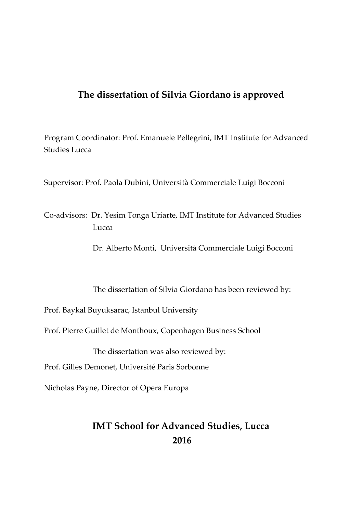#### **The dissertation of Silvia Giordano is approved**

Program Coordinator: Prof. Emanuele Pellegrini, IMT Institute for Advanced Studies Lucca

Supervisor: Prof. Paola Dubini, Università Commerciale Luigi Bocconi

Co-advisors: Dr. Yesim Tonga Uriarte, IMT Institute for Advanced Studies Lucca

Dr. Alberto Monti, Università Commerciale Luigi Bocconi

The dissertation of Silvia Giordano has been reviewed by:

Prof. Baykal Buyuksarac, Istanbul University

Prof. Pierre Guillet de Monthoux, Copenhagen Business School

The dissertation was also reviewed by:

Prof. Gilles Demonet, Université Paris Sorbonne

Nicholas Payne, Director of Opera Europa

## **IMT School for Advanced Studies, Lucca 2016**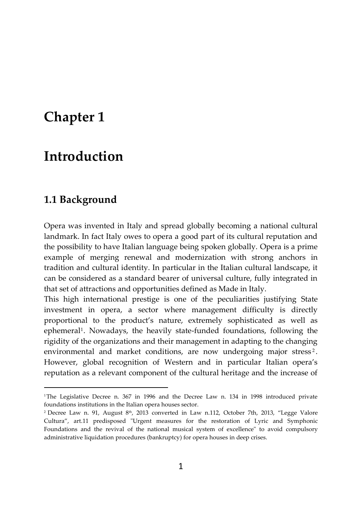# **Chapter 1**

## **Introduction**

#### **1.1 Background**

1

Opera was invented in Italy and spread globally becoming a national cultural landmark. In fact Italy owes to opera a good part of its cultural reputation and the possibility to have Italian language being spoken globally. Opera is a prime example of merging renewal and modernization with strong anchors in tradition and cultural identity. In particular in the Italian cultural landscape, it can be considered as a standard bearer of universal culture, fully integrated in that set of attractions and opportunities defined as Made in Italy.

This high international prestige is one of the peculiarities justifying State investment in opera, a sector where management difficulty is directly proportional to the product's nature, extremely sophisticated as well as ephemeral<sup>1</sup>. Nowadays, the heavily state-funded foundations, following the rigidity of the organizations and their management in adapting to the changing environmental and market conditions, are now undergoing major stress<sup>2</sup>. However, global recognition of Western and in particular Italian opera's reputation as a relevant component of the cultural heritage and the increase of

<sup>&</sup>lt;sup>1</sup>The Legislative Decree n. 367 in 1996 and the Decree Law n. 134 in 1998 introduced private foundations institutions in the Italian opera houses sector.

 $^2$  Decree Law n. 91, August  $8^{\text{th}}$ , 2013 converted in Law n.112, October 7th, 2013, "Legge Valore Cultura", art.11 predisposed "Urgent measures for the restoration of Lyric and Symphonic Foundations and the revival of the national musical system of excellence" to avoid compulsory administrative liquidation procedures (bankruptcy) for opera houses in deep crises.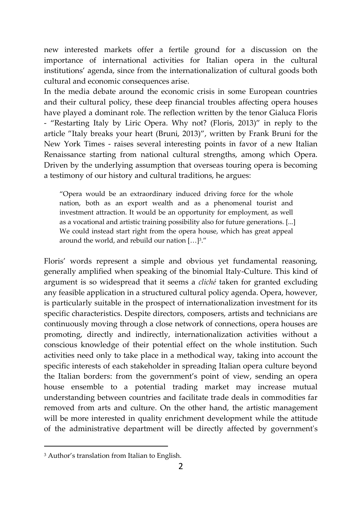new interested markets offer a fertile ground for a discussion on the importance of international activities for Italian opera in the cultural institutions' agenda, since from the internationalization of cultural goods both cultural and economic consequences arise.

In the media debate around the economic crisis in some European countries and their cultural policy, these deep financial troubles affecting opera houses have played a dominant role. The reflection written by the tenor Gialuca Floris - "Restarting Italy by Liric Opera. Why not? (Floris, 2013)" in reply to the article "Italy breaks your heart (Bruni, 2013)", written by Frank Bruni for the New York Times - raises several interesting points in favor of a new Italian Renaissance starting from national cultural strengths, among which Opera. Driven by the underlying assumption that overseas touring opera is becoming a testimony of our history and cultural traditions, he argues:

"Opera would be an extraordinary induced driving force for the whole nation, both as an export wealth and as a phenomenal tourist and investment attraction. It would be an opportunity for employment, as well as a vocational and artistic training possibility also for future generations. [...] We could instead start right from the opera house, which has great appeal around the world, and rebuild our nation […]<sup>3</sup> ."

Floris' words represent a simple and obvious yet fundamental reasoning, generally amplified when speaking of the binomial Italy-Culture. This kind of argument is so widespread that it seems a *cliché* taken for granted excluding any feasible application in a structured cultural policy agenda. Opera, however, is particularly suitable in the prospect of internationalization investment for its specific characteristics. Despite directors, composers, artists and technicians are continuously moving through a close network of connections, opera houses are promoting, directly and indirectly, internationalization activities without a conscious knowledge of their potential effect on the whole institution. Such activities need only to take place in a methodical way, taking into account the specific interests of each stakeholder in spreading Italian opera culture beyond the Italian borders: from the government's point of view, sending an opera house ensemble to a potential trading market may increase mutual understanding between countries and facilitate trade deals in commodities far removed from arts and culture. On the other hand, the artistic management will be more interested in quality enrichment development while the attitude of the administrative department will be directly affected by government's

**.** 

<sup>3</sup> Author's translation from Italian to English.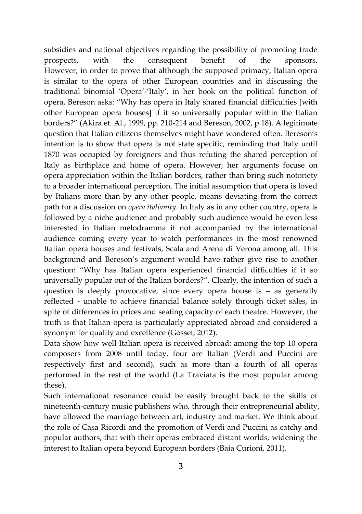subsidies and national objectives regarding the possibility of promoting trade prospects, with the consequent benefit of the sponsors. However, in order to prove that although the supposed primacy, Italian opera is similar to the opera of other European countries and in discussing the traditional binomial 'Opera'-'Italy', in her book on the political function of opera, Bereson asks: "Why has opera in Italy shared financial difficulties [with other European opera houses] if it so universally popular within the Italian borders?" (Akira et. Al., 1999, pp. 210-214 and Bereson, 2002, p.18). A legitimate question that Italian citizens themselves might have wondered often. Bereson's intention is to show that opera is not state specific, reminding that Italy until 1870 was occupied by foreigners and thus refuting the shared perception of Italy as birthplace and home of opera. However, her arguments focuse on opera appreciation within the Italian borders, rather than bring such notoriety to a broader international perception. The initial assumption that opera is loved by Italians more than by any other people, means deviating from the correct path for a discussion on *opera italianity*. In Italy as in any other country, opera is followed by a niche audience and probably such audience would be even less interested in Italian melodramma if not accompanied by the international audience coming every year to watch performances in the most renowned Italian opera houses and festivals, Scala and Arena di Verona among all. This background and Bereson's argument would have rather give rise to another question: "Why has Italian opera experienced financial difficulties if it so universally popular out of the Italian borders?". Clearly, the intention of such a question is deeply provocative, since every opera house is – as generally reflected - unable to achieve financial balance solely through ticket sales, in spite of differences in prices and seating capacity of each theatre. However, the truth is that Italian opera is particularly appreciated abroad and considered a synonym for quality and excellence (Gosset, 2012).

Data show how well Italian opera is received abroad: among the top 10 opera composers from 2008 until today, four are Italian (Verdi and Puccini are respectively first and second), such as more than a fourth of all operas performed in the rest of the world (La Traviata is the most popular among these).

Such international resonance could be easily brought back to the skills of nineteenth-century music publishers who, through their entrepreneurial ability, have allowed the marriage between art, industry and market. We think about the role of Casa Ricordi and the promotion of Verdi and Puccini as catchy and popular authors, that with their operas embraced distant worlds, widening the interest to Italian opera beyond European borders (Baia Curioni, 2011).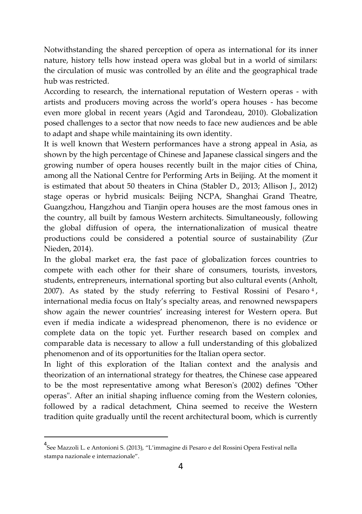Notwithstanding the shared perception of opera as international for its inner nature, history tells how instead opera was global but in a world of similars: the circulation of music was controlled by an élite and the geographical trade hub was restricted.

According to research, the international reputation of Western operas - with artists and producers moving across the world's opera houses - has become even more global in recent years (Agid and Tarondeau, 2010). Globalization posed challenges to a sector that now needs to face new audiences and be able to adapt and shape while maintaining its own identity.

It is well known that Western performances have a strong appeal in Asia, as shown by the high percentage of Chinese and Japanese classical singers and the growing number of opera houses recently built in the major cities of China, among all the National Centre for Performing Arts in Beijing. At the moment it is estimated that about 50 theaters in China (Stabler D., 2013; Allison J., 2012) stage operas or hybrid musicals: Beijing NCPA, Shanghai Grand Theatre, Guangzhou, Hangzhou and Tianjin opera houses are the most famous ones in the country, all built by famous Western architects. Simultaneously, following the global diffusion of opera, the internationalization of musical theatre productions could be considered a potential source of sustainability (Zur Nieden, 2014).

In the global market era, the fast pace of globalization forces countries to compete with each other for their share of consumers, tourists, investors, students, entrepreneurs, international sporting but also cultural events (Anholt, 2007). As stated by the study referring to Festival Rossini of Pesaro <sup>4</sup> , international media focus on Italy's specialty areas, and renowned newspapers show again the newer countries' increasing interest for Western opera. But even if media indicate a widespread phenomenon, there is no evidence or complete data on the topic yet. Further research based on complex and comparable data is necessary to allow a full understanding of this globalized phenomenon and of its opportunities for the Italian opera sector.

In light of this exploration of the Italian context and the analysis and theorization of an international strategy for theatres, the Chinese case appeared to be the most representative among what Bereson's (2002) defines "Other operas". After an initial shaping influence coming from the Western colonies, followed by a radical detachment, China seemed to receive the Western tradition quite gradually until the recent architectural boom, which is currently

**.** 

<sup>4</sup> See Mazzoli L. e Antonioni S. (2013), "L'immagine di Pesaro e del Rossini Opera Festival nella stampa nazionale e internazionale".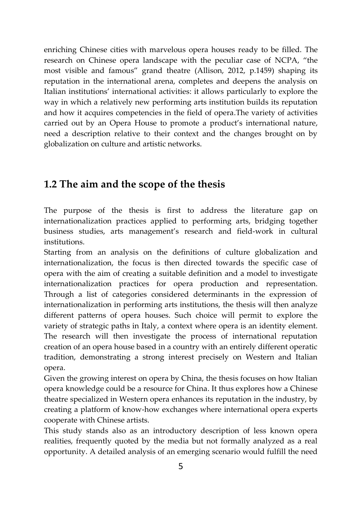enriching Chinese cities with marvelous opera houses ready to be filled. The research on Chinese opera landscape with the peculiar case of NCPA, "the most visible and famous" grand theatre (Allison, 2012, p.1459) shaping its reputation in the international arena, completes and deepens the analysis on Italian institutions' international activities: it allows particularly to explore the way in which a relatively new performing arts institution builds its reputation and how it acquires competencies in the field of opera.The variety of activities carried out by an Opera House to promote a product's international nature, need a description relative to their context and the changes brought on by globalization on culture and artistic networks.

## **1.2 The aim and the scope of the thesis**

The purpose of the thesis is first to address the literature gap on internationalization practices applied to performing arts, bridging together business studies, arts management's research and field-work in cultural institutions.

Starting from an analysis on the definitions of culture globalization and internationalization, the focus is then directed towards the specific case of opera with the aim of creating a suitable definition and a model to investigate internationalization practices for opera production and representation. Through a list of categories considered determinants in the expression of internationalization in performing arts institutions, the thesis will then analyze different patterns of opera houses. Such choice will permit to explore the variety of strategic paths in Italy, a context where opera is an identity element. The research will then investigate the process of international reputation creation of an opera house based in a country with an entirely different operatic tradition, demonstrating a strong interest precisely on Western and Italian opera.

Given the growing interest on opera by China, the thesis focuses on how Italian opera knowledge could be a resource for China. It thus explores how a Chinese theatre specialized in Western opera enhances its reputation in the industry, by creating a platform of know-how exchanges where international opera experts cooperate with Chinese artists.

This study stands also as an introductory description of less known opera realities, frequently quoted by the media but not formally analyzed as a real opportunity. A detailed analysis of an emerging scenario would fulfill the need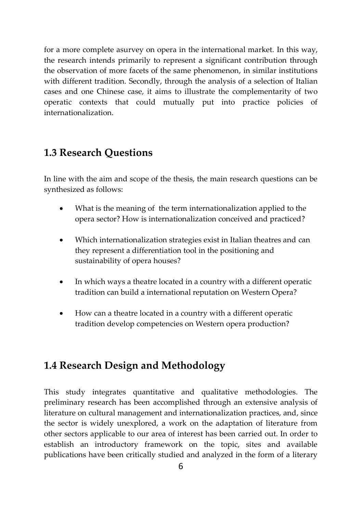for a more complete asurvey on opera in the international market. In this way, the research intends primarily to represent a significant contribution through the observation of more facets of the same phenomenon, in similar institutions with different tradition. Secondly, through the analysis of a selection of Italian cases and one Chinese case, it aims to illustrate the complementarity of two operatic contexts that could mutually put into practice policies of internationalization.

### **1.3 Research Questions**

In line with the aim and scope of the thesis, the main research questions can be synthesized as follows:

- What is the meaning of the term internationalization applied to the opera sector? How is internationalization conceived and practiced?
- Which internationalization strategies exist in Italian theatres and can they represent a differentiation tool in the positioning and sustainability of opera houses?
- In which ways a theatre located in a country with a different operatic tradition can build a international reputation on Western Opera?
- How can a theatre located in a country with a different operatic tradition develop competencies on Western opera production?

### **1.4 Research Design and Methodology**

This study integrates quantitative and qualitative methodologies. The preliminary research has been accomplished through an extensive analysis of literature on cultural management and internationalization practices, and, since the sector is widely unexplored, a work on the adaptation of literature from other sectors applicable to our area of interest has been carried out. In order to establish an introductory framework on the topic, sites and available publications have been critically studied and analyzed in the form of a literary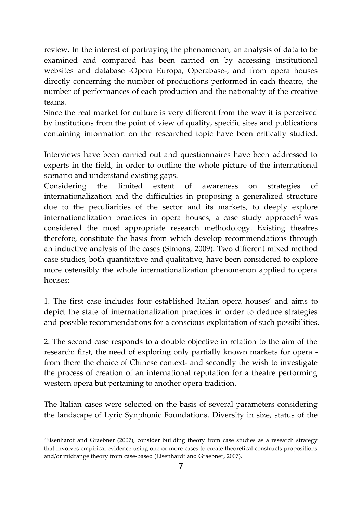review. In the interest of portraying the phenomenon, an analysis of data to be examined and compared has been carried on by accessing institutional websites and database -Opera Europa, Operabase-, and from opera houses directly concerning the number of productions performed in each theatre, the number of performances of each production and the nationality of the creative teams.

Since the real market for culture is very different from the way it is perceived by institutions from the point of view of quality, specific sites and publications containing information on the researched topic have been critically studied.

Interviews have been carried out and questionnaires have been addressed to experts in the field, in order to outline the whole picture of the international scenario and understand existing gaps.

Considering the limited extent of awareness on strategies of internationalization and the difficulties in proposing a generalized structure due to the peculiarities of the sector and its markets, to deeply explore internationalization practices in opera houses, a case study approach<sup>5</sup> was considered the most appropriate research methodology. Existing theatres therefore, constitute the basis from which develop recommendations through an inductive analysis of the cases (Simons, 2009). Two different mixed method case studies, both quantitative and qualitative, have been considered to explore more ostensibly the whole internationalization phenomenon applied to opera houses:

1. The first case includes four established Italian opera houses' and aims to depict the state of internationalization practices in order to deduce strategies and possible recommendations for a conscious exploitation of such possibilities.

2. The second case responds to a double objective in relation to the aim of the research: first, the need of exploring only partially known markets for opera from there the choice of Chinese context- and secondly the wish to investigate the process of creation of an international reputation for a theatre performing western opera but pertaining to another opera tradition.

The Italian cases were selected on the basis of several parameters considering the landscape of Lyric Synphonic Foundations. Diversity in size, status of the

**.** 

<sup>5</sup>Eisenhardt and Graebner (2007), consider building theory from case studies as a research strategy that involves empirical evidence using one or more cases to create theoretical constructs propositions and/or midrange theory from case-based (Eisenhardt and Graebner, 2007).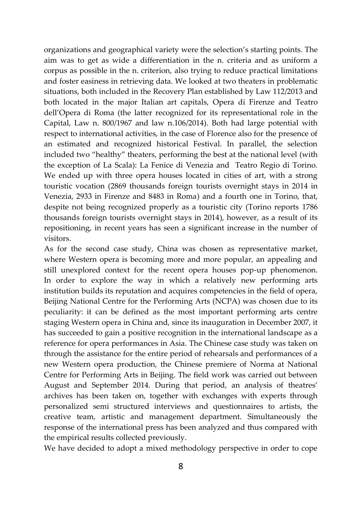organizations and geographical variety were the selection's starting points. The aim was to get as wide a differentiation in the n. criteria and as uniform a corpus as possible in the n. criterion, also trying to reduce practical limitations and foster easiness in retrieving data. We looked at two theaters in problematic situations, both included in the Recovery Plan established by Law 112/2013 and both located in the major Italian art capitals, Opera di Firenze and Teatro dell'Opera di Roma (the latter recognized for its representational role in the Capital, Law n. 800/1967 and law n.106/2014). Both had large potential with respect to international activities, in the case of Florence also for the presence of an estimated and recognized historical Festival. In parallel, the selection included two "healthy" theaters, performing the best at the national level (with the exception of La Scala): La Fenice di Venezia and Teatro Regio di Torino. We ended up with three opera houses located in cities of art, with a strong touristic vocation (2869 thousands foreign tourists overnight stays in 2014 in Venezia, 2933 in Firenze and 8483 in Roma) and a fourth one in Torino, that, despite not being recognized properly as a touristic city (Torino reports 1786 thousands foreign tourists overnight stays in 2014), however, as a result of its repositioning, in recent years has seen a significant increase in the number of visitors.

As for the second case study, China was chosen as representative market, where Western opera is becoming more and more popular, an appealing and still unexplored context for the recent opera houses pop-up phenomenon. In order to explore the way in which a relatively new performing arts institution builds its reputation and acquires competencies in the field of opera, Beijing National Centre for the Performing Arts (NCPA) was chosen due to its peculiarity: it can be defined as the most important performing arts centre staging Western opera in China and, since its inauguration in December 2007, it has succeeded to gain a positive recognition in the international landscape as a reference for opera performances in Asia. The Chinese case study was taken on through the assistance for the entire period of rehearsals and performances of a new Western opera production, the Chinese premiere of Norma at National Centre for Performing Arts in Beijing. The field work was carried out between August and September 2014. During that period, an analysis of theatres' archives has been taken on, together with exchanges with experts through personalized semi structured interviews and questionnaires to artists, the creative team, artistic and management department. Simultaneously the response of the international press has been analyzed and thus compared with the empirical results collected previously.

We have decided to adopt a mixed methodology perspective in order to cope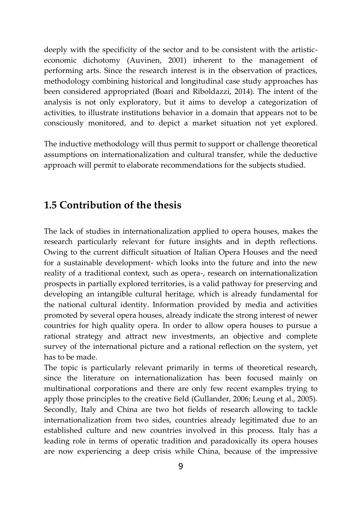deeply with the specificity of the sector and to be consistent with the artisticeconomic dichotomy (Auvinen, 2001) inherent to the management of performing arts. Since the research interest is in the observation of practices, methodology combining historical and longitudinal case study approaches has been considered appropriated (Boari and Riboldazzi, 2014). The intent of the analysis is not only exploratory, but it aims to develop a categorization of activities, to illustrate institutions behavior in a domain that appears not to be consciously monitored, and to depict a market situation not yet explored.

The inductive methodology will thus permit to support or challenge theoretical assumptions on internationalization and cultural transfer, while the deductive approach will permit to elaborate recommendations for the subjects studied.

#### **1.5 Contribution of the thesis**

The lack of studies in internationalization applied to opera houses, makes the research particularly relevant for future insights and in depth reflections. Owing to the current difficult situation of Italian Opera Houses and the need for a sustainable development- which looks into the future and into the new reality of a traditional context, such as opera-, research on internationalization prospects in partially explored territories, is a valid pathway for preserving and developing an intangible cultural heritage, which is already fundamental for the national cultural identity. Information provided by media and activities promoted by several opera houses, already indicate the strong interest of newer countries for high quality opera. In order to allow opera houses to pursue a rational strategy and attract new investments, an objective and complete survey of the international picture and a rational reflection on the system, yet has to be made.

The topic is particularly relevant primarily in terms of theoretical research, since the literature on internationalization has been focused mainly on multinational corporations and there are only few recent examples trying to apply those principles to the creative field (Gullander, 2006; Leung et al., 2005). Secondly, Italy and China are two hot fields of research allowing to tackle internationalization from two sides, countries already legitimated due to an established culture and new countries involved in this process. Italy has a leading role in terms of operatic tradition and paradoxically its opera houses are now experiencing a deep crisis while China, because of the impressive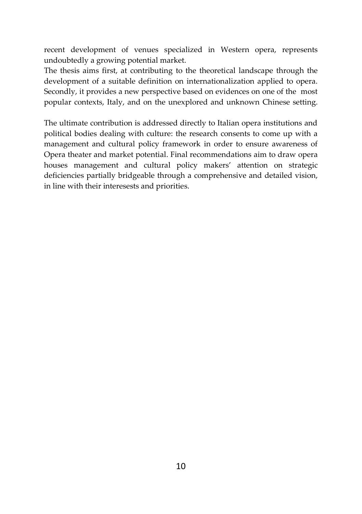recent development of venues specialized in Western opera, represents undoubtedly a growing potential market.

The thesis aims first, at contributing to the theoretical landscape through the development of a suitable definition on internationalization applied to opera. Secondly, it provides a new perspective based on evidences on one of the most popular contexts, Italy, and on the unexplored and unknown Chinese setting.

The ultimate contribution is addressed directly to Italian opera institutions and political bodies dealing with culture: the research consents to come up with a management and cultural policy framework in order to ensure awareness of Opera theater and market potential. Final recommendations aim to draw opera houses management and cultural policy makers' attention on strategic deficiencies partially bridgeable through a comprehensive and detailed vision, in line with their interesests and priorities.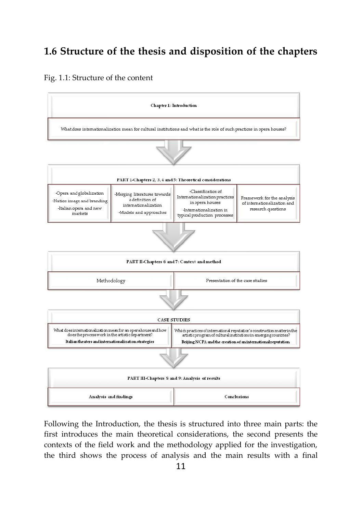## **1.6 Structure of the thesis and disposition of the chapters**

#### Fig. 1.1: Structure of the content



Following the Introduction, the thesis is structured into three main parts: the first introduces the main theoretical considerations, the second presents the contexts of the field work and the methodology applied for the investigation, the third shows the process of analysis and the main results with a final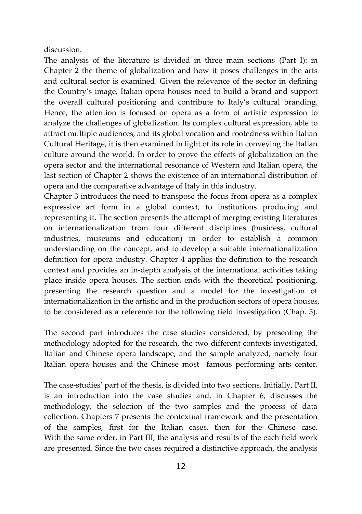discussion.

The analysis of the literature is divided in three main sections (Part I): in Chapter 2 the theme of globalization and how it poses challenges in the arts and cultural sector is examined. Given the relevance of the sector in defining the Country's image, Italian opera houses need to build a brand and support the overall cultural positioning and contribute to Italy's cultural branding. Hence, the attention is focused on opera as a form of artistic expression to analyze the challenges of globalization. Its complex cultural expression, able to attract multiple audiences, and its global vocation and rootedness within Italian Cultural Heritage, it is then examined in light of its role in conveying the Italian culture around the world. In order to prove the effects of globalization on the opera sector and the international resonance of Western and Italian opera, the last section of Chapter 2 shows the existence of an international distribution of opera and the comparative advantage of Italy in this industry.

Chapter 3 introduces the need to transpose the focus from opera as a complex expressive art form in a global context, to institutions producing and representing it. The section presents the attempt of merging existing literatures on internationalization from four different disciplines (business, cultural industries, museums and education) in order to establish a common understanding on the concept, and to develop a suitable internationalization definition for opera industry. Chapter 4 applies the definition to the research context and provides an in-depth analysis of the international activities taking place inside opera houses. The section ends with the theoretical positioning, presenting the research question and a model for the investigation of internationalization in the artistic and in the production sectors of opera houses, to be considered as a reference for the following field investigation (Chap. 5).

The second part introduces the case studies considered, by presenting the methodology adopted for the research, the two different contexts investigated, Italian and Chinese opera landscape, and the sample analyzed, namely four Italian opera houses and the Chinese most famous performing arts center.

The case-studies' part of the thesis, is divided into two sections. Initially, Part II, is an introduction into the case studies and, in Chapter 6, discusses the methodology, the selection of the two samples and the process of data collection. Chapters 7 presents the contextual framework and the presentation of the samples, first for the Italian cases, then for the Chinese case. With the same order, in Part III, the analysis and results of the each field work are presented. Since the two cases required a distinctive approach, the analysis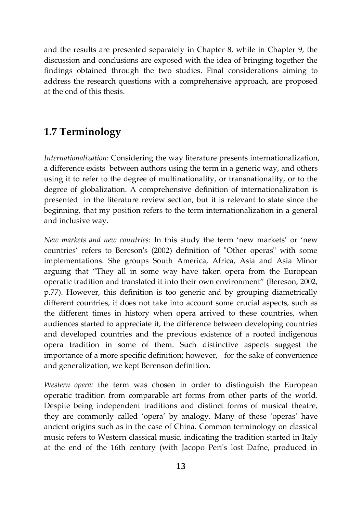and the results are presented separately in Chapter 8, while in Chapter 9, the discussion and conclusions are exposed with the idea of bringing together the findings obtained through the two studies. Final considerations aiming to address the research questions with a comprehensive approach, are proposed at the end of this thesis.

## **1.7 Terminology**

*Internationalization*: Considering the way literature presents internationalization, a difference exists between authors using the term in a generic way, and others using it to refer to the degree of multinationality, or transnationality, or to the degree of globalization. A comprehensive definition of internationalization is presented in the literature review section, but it is relevant to state since the beginning, that my position refers to the term internationalization in a general and inclusive way.

*New markets and new countries*: In this study the term 'new markets' or 'new countries' refers to Bereson's (2002) definition of "Other operas" with some implementations. She groups South America, Africa, Asia and Asia Minor arguing that "They all in some way have taken opera from the European operatic tradition and translated it into their own environment" (Bereson, 2002, p.77). However, this definition is too generic and by grouping diametrically different countries, it does not take into account some crucial aspects, such as the different times in history when opera arrived to these countries, when audiences started to appreciate it, the difference between developing countries and developed countries and the previous existence of a rooted indigenous opera tradition in some of them. Such distinctive aspects suggest the importance of a more specific definition; however, for the sake of convenience and generalization, we kept Berenson definition.

*Western opera:* the term was chosen in order to distinguish the European operatic tradition from comparable art forms from other parts of the world. Despite being independent traditions and distinct forms of musical theatre, they are commonly called 'opera' by analogy. Many of these 'operas' have ancient origins such as in the case of China. Common terminology on classical music refers to Western classical music, indicating the tradition started in Italy at the end of the 16th century (with Jacopo Peri's lost Dafne, produced in